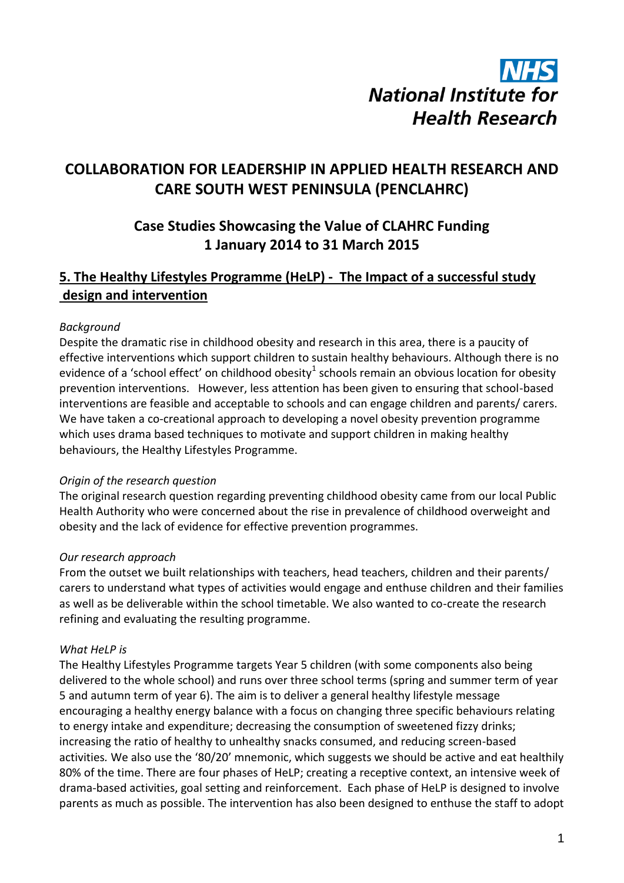# **National Institute for Health Research**

# **COLLABORATION FOR LEADERSHIP IN APPLIED HEALTH RESEARCH AND CARE SOUTH WEST PENINSULA (PENCLAHRC)**

# **Case Studies Showcasing the Value of CLAHRC Funding 1 January 2014 to 31 March 2015**

# **5. The Healthy Lifestyles Programme (HeLP) - The Impact of a successful study design and intervention**

#### *Background*

Despite the dramatic rise in childhood obesity and research in this area, there is a paucity of effective interventions which support children to sustain healthy behaviours. Although there is no evidence of a 'school effect' on childhood obesity<sup>1</sup> schools remain an obvious location for obesity prevention interventions. However, less attention has been given to ensuring that school-based interventions are feasible and acceptable to schools and can engage children and parents/ carers. We have taken a co-creational approach to developing a novel obesity prevention programme which uses drama based techniques to motivate and support children in making healthy behaviours, the Healthy Lifestyles Programme.

#### *Origin of the research question*

The original research question regarding preventing childhood obesity came from our local Public Health Authority who were concerned about the rise in prevalence of childhood overweight and obesity and the lack of evidence for effective prevention programmes.

#### *Our research approach*

From the outset we built relationships with teachers, head teachers, children and their parents/ carers to understand what types of activities would engage and enthuse children and their families as well as be deliverable within the school timetable. We also wanted to co-create the research refining and evaluating the resulting programme.

#### *What HeLP is*

The Healthy Lifestyles Programme targets Year 5 children (with some components also being delivered to the whole school) and runs over three school terms (spring and summer term of year 5 and autumn term of year 6). The aim is to deliver a general healthy lifestyle message encouraging a healthy energy balance with a focus on changing three specific behaviours relating to energy intake and expenditure; decreasing the consumption of sweetened fizzy drinks; increasing the ratio of healthy to unhealthy snacks consumed, and reducing screen-based activities*.* We also use the '80/20' mnemonic, which suggests we should be active and eat healthily 80% of the time. There are four phases of HeLP; creating a receptive context, an intensive week of drama-based activities, goal setting and reinforcement. Each phase of HeLP is designed to involve parents as much as possible. The intervention has also been designed to enthuse the staff to adopt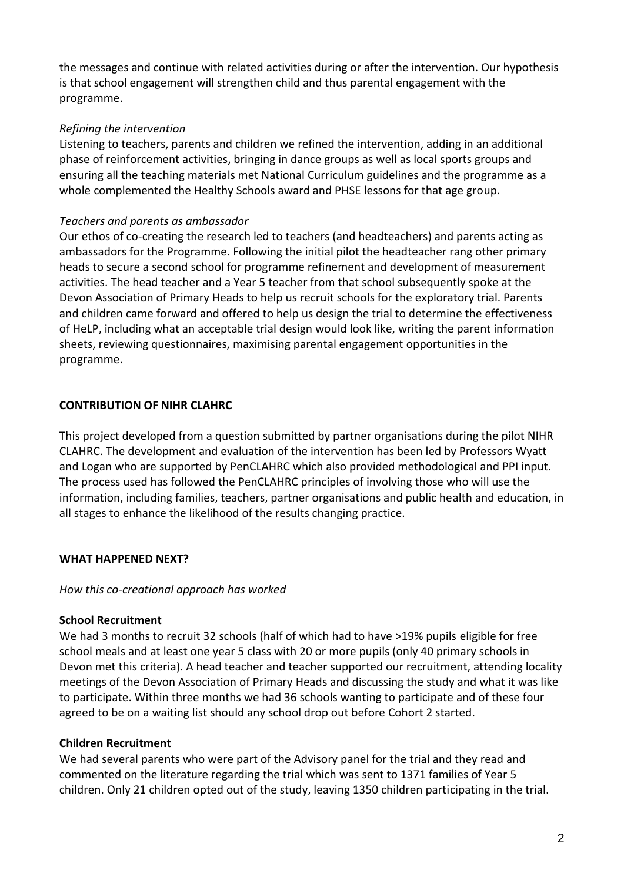the messages and continue with related activities during or after the intervention. Our hypothesis is that school engagement will strengthen child and thus parental engagement with the programme.

#### *Refining the intervention*

Listening to teachers, parents and children we refined the intervention, adding in an additional phase of reinforcement activities, bringing in dance groups as well as local sports groups and ensuring all the teaching materials met National Curriculum guidelines and the programme as a whole complemented the Healthy Schools award and PHSE lessons for that age group.

#### *Teachers and parents as ambassador*

Our ethos of co-creating the research led to teachers (and headteachers) and parents acting as ambassadors for the Programme. Following the initial pilot the headteacher rang other primary heads to secure a second school for programme refinement and development of measurement activities. The head teacher and a Year 5 teacher from that school subsequently spoke at the Devon Association of Primary Heads to help us recruit schools for the exploratory trial. Parents and children came forward and offered to help us design the trial to determine the effectiveness of HeLP, including what an acceptable trial design would look like, writing the parent information sheets, reviewing questionnaires, maximising parental engagement opportunities in the programme.

#### **CONTRIBUTION OF NIHR CLAHRC**

This project developed from a question submitted by partner organisations during the pilot NIHR CLAHRC. The development and evaluation of the intervention has been led by Professors Wyatt and Logan who are supported by PenCLAHRC which also provided methodological and PPI input. The process used has followed the PenCLAHRC principles of involving those who will use the information, including families, teachers, partner organisations and public health and education, in all stages to enhance the likelihood of the results changing practice.

#### **WHAT HAPPENED NEXT?**

## *How this co-creational approach has worked*

## **School Recruitment**

We had 3 months to recruit 32 schools (half of which had to have >19% pupils eligible for free school meals and at least one year 5 class with 20 or more pupils (only 40 primary schools in Devon met this criteria). A head teacher and teacher supported our recruitment, attending locality meetings of the Devon Association of Primary Heads and discussing the study and what it was like to participate. Within three months we had 36 schools wanting to participate and of these four agreed to be on a waiting list should any school drop out before Cohort 2 started.

## **Children Recruitment**

We had several parents who were part of the Advisory panel for the trial and they read and commented on the literature regarding the trial which was sent to 1371 families of Year 5 children. Only 21 children opted out of the study, leaving 1350 children participating in the trial.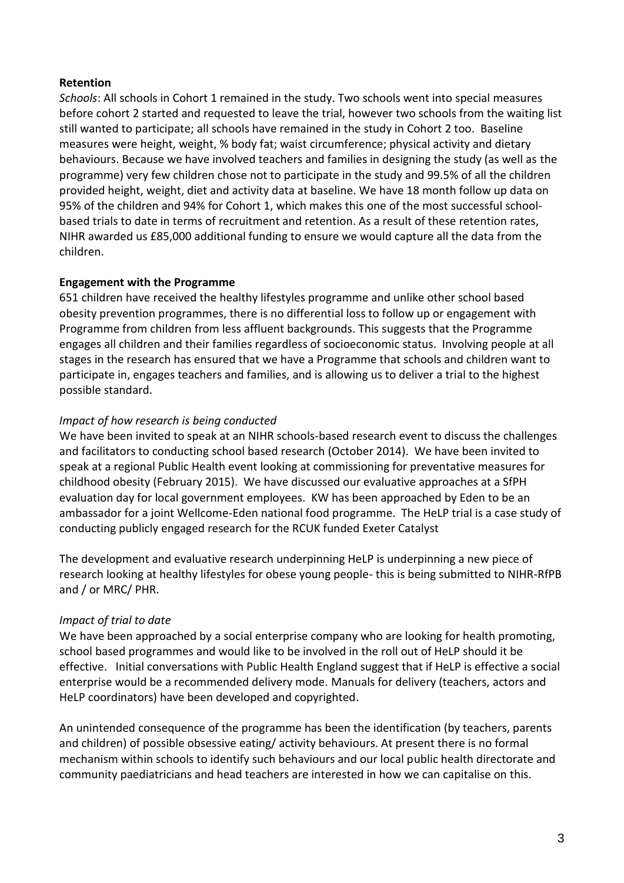#### **Retention**

*Schools*: All schools in Cohort 1 remained in the study. Two schools went into special measures before cohort 2 started and requested to leave the trial, however two schools from the waiting list still wanted to participate; all schools have remained in the study in Cohort 2 too. Baseline measures were height, weight, % body fat; waist circumference; physical activity and dietary behaviours. Because we have involved teachers and families in designing the study (as well as the programme) very few children chose not to participate in the study and 99.5% of all the children provided height, weight, diet and activity data at baseline. We have 18 month follow up data on 95% of the children and 94% for Cohort 1, which makes this one of the most successful schoolbased trials to date in terms of recruitment and retention. As a result of these retention rates, NIHR awarded us £85,000 additional funding to ensure we would capture all the data from the children.

#### **Engagement with the Programme**

651 children have received the healthy lifestyles programme and unlike other school based obesity prevention programmes, there is no differential loss to follow up or engagement with Programme from children from less affluent backgrounds. This suggests that the Programme engages all children and their families regardless of socioeconomic status. Involving people at all stages in the research has ensured that we have a Programme that schools and children want to participate in, engages teachers and families, and is allowing us to deliver a trial to the highest possible standard.

#### *Impact of how research is being conducted*

We have been invited to speak at an NIHR schools-based research event to discuss the challenges and facilitators to conducting school based research (October 2014). We have been invited to speak at a regional Public Health event looking at commissioning for preventative measures for childhood obesity (February 2015). We have discussed our evaluative approaches at a SfPH evaluation day for local government employees. KW has been approached by Eden to be an ambassador for a joint Wellcome-Eden national food programme. The HeLP trial is a case study of conducting publicly engaged research for the RCUK funded Exeter Catalyst

The development and evaluative research underpinning HeLP is underpinning a new piece of research looking at healthy lifestyles for obese young people- this is being submitted to NIHR-RfPB and / or MRC/ PHR.

#### *Impact of trial to date*

We have been approached by a social enterprise company who are looking for health promoting, school based programmes and would like to be involved in the roll out of HeLP should it be effective. Initial conversations with Public Health England suggest that if HeLP is effective a social enterprise would be a recommended delivery mode. Manuals for delivery (teachers, actors and HeLP coordinators) have been developed and copyrighted.

An unintended consequence of the programme has been the identification (by teachers, parents and children) of possible obsessive eating/ activity behaviours. At present there is no formal mechanism within schools to identify such behaviours and our local public health directorate and community paediatricians and head teachers are interested in how we can capitalise on this.